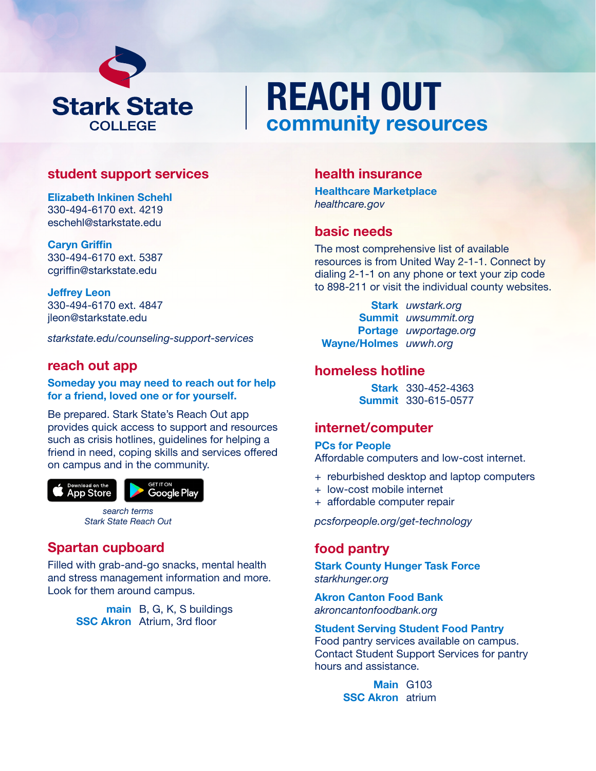

# REACH OUT community resources

# student support services

Elizabeth lnkinen Schehl 330-494-6170 ext. 4219 eschehl@starkstate.edu

Caryn Griffin 330-494-6170 ext. 5387 cgriffin@starkstate.edu

Jeffrey Leon 330-494-6170 ext. 4847 jleon@starkstate.edu

*starkstate.edu/counseling-support-services*

# reach out app

Someday you may need to reach out for help for a friend, loved one or for yourself.

Be prepared. Stark State's Reach Out app provides quick access to support and resources such as crisis hotlines, guidelines for helping a friend in need, coping skills and services offered on campus and in the community.



*search terms Stark State Reach Out*

# Spartan cupboard

Filled with grab-and-go snacks, mental health and stress management information and more. Look for them around campus.

> main B, G, K, S buildings **SSC Akron** Atrium, 3rd floor

# health insurance

Healthcare Marketplace *[healthcare.gov](https://www.healthcare.gov/)*

# basic needs

The most comprehensive list of available resources is from United Way 2-1-1. Connect by dialing 2-1-1 on any phone or text your zip code to 898-211 or visit the individual county websites.

Stark *[uwstark.org](https://www.uwstark.org/)* Summit *[uwsummit.org](https://www.uwsummit.org/)*  Portage *[uwportage.org](https://www.uwportage.org/)*  Wayne/Holmes *[uwwh.org](https://www.uwwh.org/)* 

# homeless hotline

Stark 330-452-4363 Summit 330-615-0577

# internet/computer

PCs for People Affordable computers and low-cost internet.

- + reburbished desktop and laptop computers
- + low-cost mobile internet
- + affordable computer repair

*[pcsforpeople.org/get-technology](https://www.pcsforpeople.org/get-technology/)*

# food pantry

Stark County Hunger Task Force *[starkhunger.org](http://starkhunger.org/)* 

Akron Canton Food Bank *[akroncantonfoodbank.org](https://www.akroncantonfoodbank.org/)* 

#### Student Serving Student Food Pantry

Food pantry services available on campus. Contact Student Support Services for pantry hours and assistance.

> Main G103 **SSC Akron** atrium